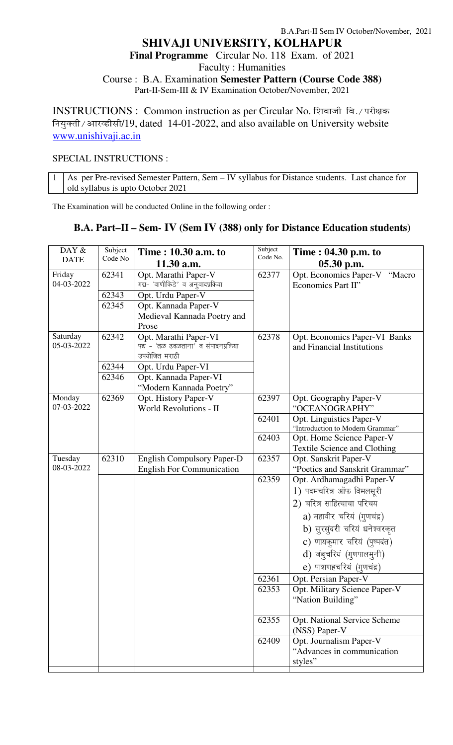# B.A.Part-II Sem IV October/November, 2021 **SHIVAJI UNIVERSITY, KOLHAPUR Final Programme** Circular No. 118 Exam. of 2021 Faculty : Humanities Course : B.A. Examination **Semester Pattern (Course Code 388)** Part-II-Sem-III & IV Examination October/November, 2021

INSTRUCTIONS : Common instruction as per Circular No. शिवाजी वि./ परीक्षक नियुक्ती / आरव्हीसी/19, dated 14-01-2022, and also available on University website www.unishivaji.ac.in

## SPECIAL INSTRUCTIONS :

1 As per Pre-revised Semester Pattern, Sem – IV syllabus for Distance students. Last chance for old syllabus is upto October 2021

The Examination will be conducted Online in the following order :

# **B.A. Part–II – Sem- IV (Sem IV (388) only for Distance Education students)**

| DAY &                | Subject | Time: 10.30 a.m. to                                        | Subject<br>Code No. | Time : 04.30 p.m. to                                |
|----------------------|---------|------------------------------------------------------------|---------------------|-----------------------------------------------------|
| <b>DATE</b>          | Code No | 11.30 a.m.                                                 |                     | $05.30$ p.m.                                        |
| Friday<br>04-03-2022 | 62341   | Opt. Marathi Paper-V<br>गद्य- 'वाणीकिडे' व अनुवादप्रक्रिया | 62377               | Opt. Economics Paper-V "Macro<br>Economics Part II" |
|                      | 62343   | Opt. Urdu Paper-V                                          |                     |                                                     |
|                      | 62345   | Opt. Kannada Paper-V                                       |                     |                                                     |
|                      |         | Medieval Kannada Poetry and                                |                     |                                                     |
|                      |         | Prose                                                      |                     |                                                     |
| Saturday             | 62342   | Opt. Marathi Paper-VI                                      | 62378               | Opt. Economics Paper-VI Banks                       |
| 05-03-2022           |         | पद्य - 'तळ ढवळताना' व संपादनप्रक्रिया                      |                     | and Financial Institutions                          |
|                      |         | उपयोजित मराठी                                              |                     |                                                     |
|                      | 62344   | Opt. Urdu Paper-VI                                         |                     |                                                     |
|                      | 62346   | Opt. Kannada Paper-VI                                      |                     |                                                     |
|                      |         | "Modern Kannada Poetry"                                    |                     |                                                     |
| Monday<br>07-03-2022 | 62369   | Opt. History Paper-V<br><b>World Revolutions - II</b>      | 62397               | Opt. Geography Paper-V<br>"OCEANOGRAPHY"            |
|                      |         |                                                            | 62401               | Opt. Linguistics Paper-V                            |
|                      |         |                                                            |                     | "Introduction to Modern Grammar"                    |
|                      |         |                                                            | 62403               | Opt. Home Science Paper-V                           |
|                      |         |                                                            |                     | <b>Textile Science and Clothing</b>                 |
| Tuesday              | 62310   | <b>English Compulsory Paper-D</b>                          | 62357               | Opt. Sanskrit Paper-V                               |
| 08-03-2022           |         | <b>English For Communication</b>                           |                     | "Poetics and Sanskrit Grammar"                      |
|                      |         |                                                            | 62359               | Opt. Ardhamagadhi Paper-V                           |
|                      |         |                                                            |                     | 1) पदमचरित्र ऑफ विमलसूरी                            |
|                      |         |                                                            |                     | 2) चरित्र साहित्याचा परिचय                          |
|                      |         |                                                            |                     | a) महावीर चरियं (गुणचंद्र)                          |
|                      |         |                                                            |                     | b) सुरसुंदरी चरियं धनेश्वरकृत                       |
|                      |         |                                                            |                     | c) णायकुमार चरियं (पुष्पदंत)                        |
|                      |         |                                                            |                     | d) जंबुचरियं (गुणपालमुनी)                           |
|                      |         |                                                            |                     | e) पाशणहचरियं (गुणचंद्र)                            |
|                      |         |                                                            | 62361               | Opt. Persian Paper-V                                |
|                      |         |                                                            | 62353               | Opt. Military Science Paper-V                       |
|                      |         |                                                            |                     | "Nation Building"                                   |
|                      |         |                                                            | 62355               | Opt. National Service Scheme                        |
|                      |         |                                                            |                     | (NSS) Paper-V                                       |
|                      |         |                                                            | 62409               | Opt. Journalism Paper-V                             |
|                      |         |                                                            |                     | "Advances in communication"                         |
|                      |         |                                                            |                     | styles"                                             |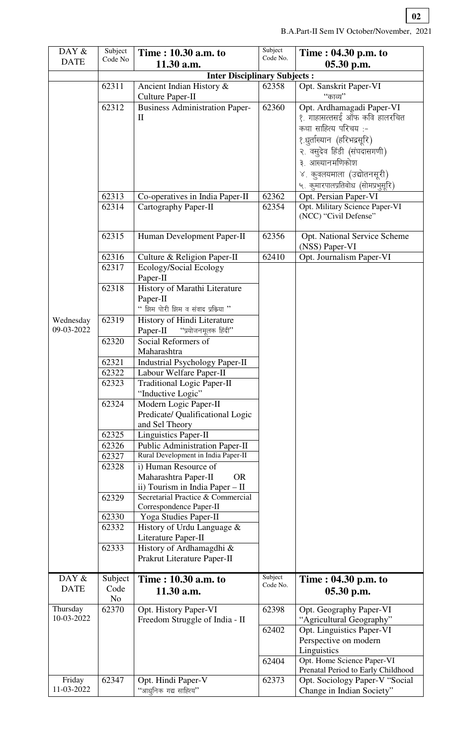| DAY &<br><b>DATE</b>    | Subject<br>Code No                                                                                                                           | Time: 10.30 a.m. to<br>11.30 a.m.                                                                                                                                                                                                                                                                                                                                                                                                                                                                                                                                                                                                                                                                                                                                                                                                                                 | Subject<br>Code No.     | Time : 04.30 p.m. to<br>05.30 p.m.                                                                                                                                                                                                    |  |  |
|-------------------------|----------------------------------------------------------------------------------------------------------------------------------------------|-------------------------------------------------------------------------------------------------------------------------------------------------------------------------------------------------------------------------------------------------------------------------------------------------------------------------------------------------------------------------------------------------------------------------------------------------------------------------------------------------------------------------------------------------------------------------------------------------------------------------------------------------------------------------------------------------------------------------------------------------------------------------------------------------------------------------------------------------------------------|-------------------------|---------------------------------------------------------------------------------------------------------------------------------------------------------------------------------------------------------------------------------------|--|--|
|                         | <b>Inter Disciplinary Subjects:</b>                                                                                                          |                                                                                                                                                                                                                                                                                                                                                                                                                                                                                                                                                                                                                                                                                                                                                                                                                                                                   |                         |                                                                                                                                                                                                                                       |  |  |
|                         | 62311                                                                                                                                        | Ancient Indian History &<br>Culture Paper-II                                                                                                                                                                                                                                                                                                                                                                                                                                                                                                                                                                                                                                                                                                                                                                                                                      | 62358                   | Opt. Sanskrit Paper-VI<br><b>''</b> काव्य''                                                                                                                                                                                           |  |  |
|                         | 62312                                                                                                                                        | <b>Business Administration Paper-</b><br>$\mathbf{I}$                                                                                                                                                                                                                                                                                                                                                                                                                                                                                                                                                                                                                                                                                                                                                                                                             | 62360                   | Opt. Ardhamagadi Paper-VI<br>१. गाहासत्तसई ऑफ कवि हालरचित<br>कथा साहित्य परिचय:-<br>१.धुर्ताख्यान (हरिभद्रसूरि)<br>२. वसुदेव हिंडी (संघदासगणी)<br>३. आल्यानमणिकोश<br>४. कुवलयमाला (उद्योतनसूरी)<br>५. कुमारपालप्रतिबोध (सोमप्रभुसूरि) |  |  |
|                         | 62313                                                                                                                                        | Co-operatives in India Paper-II                                                                                                                                                                                                                                                                                                                                                                                                                                                                                                                                                                                                                                                                                                                                                                                                                                   | 62362                   | Opt. Persian Paper-VI                                                                                                                                                                                                                 |  |  |
|                         | 62314                                                                                                                                        | Cartography Paper-II                                                                                                                                                                                                                                                                                                                                                                                                                                                                                                                                                                                                                                                                                                                                                                                                                                              | 62354                   | Opt. Military Science Paper-VI<br>(NCC) "Civil Defense"                                                                                                                                                                               |  |  |
|                         | 62315                                                                                                                                        | Human Development Paper-II                                                                                                                                                                                                                                                                                                                                                                                                                                                                                                                                                                                                                                                                                                                                                                                                                                        | 62356                   | <b>Opt. National Service Scheme</b><br>(NSS) Paper-VI                                                                                                                                                                                 |  |  |
|                         | 62316                                                                                                                                        | Culture & Religion Paper-II                                                                                                                                                                                                                                                                                                                                                                                                                                                                                                                                                                                                                                                                                                                                                                                                                                       | 62410                   | Opt. Journalism Paper-VI                                                                                                                                                                                                              |  |  |
| Wednesday<br>09-03-2022 | 62317<br>62318<br>62319<br>62320<br>62321<br>62322<br>62323<br>62324<br>62325<br>62326<br>62327<br>62328<br>62329<br>62330<br>62332<br>62333 | Ecology/Social Ecology<br>Paper-II<br>History of Marathi Literature<br>Paper-II<br>" झिम पोरी झिम व संवाद प्रक्रिया"<br>History of Hindi Literature<br>"प्रयोजनमूलक हिंदी"<br>Paper-II<br>Social Reformers of<br>Maharashtra<br><b>Industrial Psychology Paper-II</b><br>Labour Welfare Paper-II<br><b>Traditional Logic Paper-II</b><br>"Inductive Logic"<br>Modern Logic Paper-II<br>Predicate/ Qualificational Logic<br>and Sel Theory<br><b>Linguistics Paper-II</b><br><b>Public Administration Paper-II</b><br>Rural Development in India Paper-II<br>i) Human Resource of<br>Maharashtra Paper-II<br><b>OR</b><br>ii) Tourism in India Paper - II<br>Secretarial Practice & Commercial<br>Correspondence Paper-II<br>Yoga Studies Paper-II<br>History of Urdu Language &<br>Literature Paper-II<br>History of Ardhamagdhi &<br>Prakrut Literature Paper-II |                         |                                                                                                                                                                                                                                       |  |  |
| DAY &<br><b>DATE</b>    | Subject<br>Code<br>No                                                                                                                        | Time: 10.30 a.m. to<br>11.30 a.m.                                                                                                                                                                                                                                                                                                                                                                                                                                                                                                                                                                                                                                                                                                                                                                                                                                 | Subject<br>Code No.     | Time : 04.30 p.m. to<br>05.30 p.m.                                                                                                                                                                                                    |  |  |
| Thursday<br>10-03-2022  | 62370                                                                                                                                        | Opt. History Paper-VI<br>Freedom Struggle of India - II                                                                                                                                                                                                                                                                                                                                                                                                                                                                                                                                                                                                                                                                                                                                                                                                           | 62398<br>62402<br>62404 | Opt. Geography Paper-VI<br>"Agricultural Geography"<br>Opt. Linguistics Paper-VI<br>Perspective on modern<br>Linguistics<br>Opt. Home Science Paper-VI<br>Prenatal Period to Early Childhood                                          |  |  |
| Friday<br>11-03-2022    | 62347                                                                                                                                        | Opt. Hindi Paper-V<br>"आधुनिक गद्य साहित्य"                                                                                                                                                                                                                                                                                                                                                                                                                                                                                                                                                                                                                                                                                                                                                                                                                       | 62373                   | Opt. Sociology Paper-V "Social<br>Change in Indian Society"                                                                                                                                                                           |  |  |